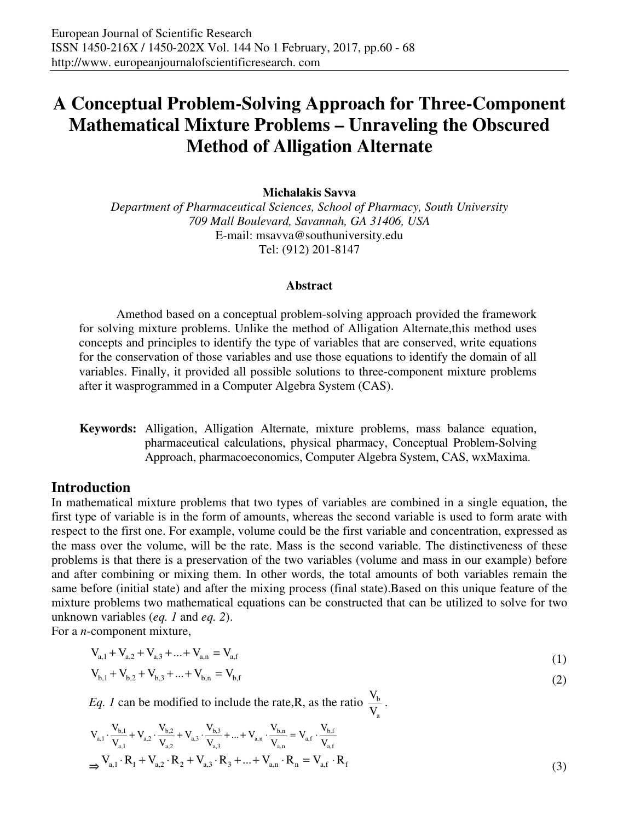**Michalakis Savva** 

*Department of Pharmaceutical Sciences, School of Pharmacy, South University 709 Mall Boulevard, Savannah, GA 31406, USA*  E-mail: msavva@southuniversity.edu Tel: (912) 201-8147

#### **Abstract**

Amethod based on a conceptual problem-solving approach provided the framework for solving mixture problems. Unlike the method of Alligation Alternate,this method uses concepts and principles to identify the type of variables that are conserved, write equations for the conservation of those variables and use those equations to identify the domain of all variables. Finally, it provided all possible solutions to three-component mixture problems after it wasprogrammed in a Computer Algebra System (CAS).

**Keywords:** Alligation, Alligation Alternate, mixture problems, mass balance equation, pharmaceutical calculations, physical pharmacy, Conceptual Problem-Solving Approach, pharmacoeconomics, Computer Algebra System, CAS, wxMaxima.

## **Introduction**

In mathematical mixture problems that two types of variables are combined in a single equation, the first type of variable is in the form of amounts, whereas the second variable is used to form arate with respect to the first one. For example, volume could be the first variable and concentration, expressed as the mass over the volume, will be the rate. Mass is the second variable. The distinctiveness of these problems is that there is a preservation of the two variables (volume and mass in our example) before and after combining or mixing them. In other words, the total amounts of both variables remain the same before (initial state) and after the mixing process (final state).Based on this unique feature of the mixture problems two mathematical equations can be constructed that can be utilized to solve for two unknown variables (*eq. 1* and *eq. 2*).

For a *n*-component mixture,

$$
V_{a,1} + V_{a,2} + V_{a,3} + ... + V_{a,n} = V_{a,f}
$$
\n(1)

$$
V_{b,1} + V_{b,2} + V_{b,3} + \dots + V_{b,n} = V_{b,f}
$$
\n<sup>(2)</sup>

*Eq. 1* can be modified to include the rate, R, as the ratio  $\frac{v_b}{v_b}$ a V  $\frac{V_{b}}{V}$ .

$$
V_{a,1} \cdot \frac{V_{b,1}}{V_{a,1}} + V_{a,2} \cdot \frac{V_{b,2}}{V_{a,2}} + V_{a,3} \cdot \frac{V_{b,3}}{V_{a,3}} + ... + V_{a,n} \cdot \frac{V_{b,n}}{V_{a,n}} = V_{a,f} \cdot \frac{V_{b,f}}{V_{a,f}}
$$
  
\n
$$
\Rightarrow V_{a,1} \cdot R_1 + V_{a,2} \cdot R_2 + V_{a,3} \cdot R_3 + ... + V_{a,n} \cdot R_n = V_{a,f} \cdot R_f
$$
\n(3)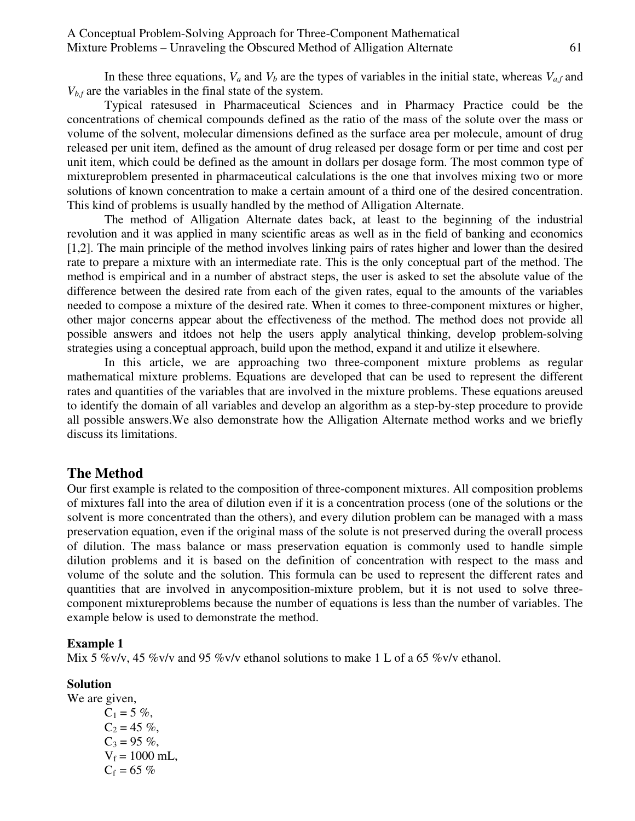In these three equations,  $V_a$  and  $V_b$  are the types of variables in the initial state, whereas  $V_{af}$  and  $V_{b,f}$  are the variables in the final state of the system.

Typical ratesused in Pharmaceutical Sciences and in Pharmacy Practice could be the concentrations of chemical compounds defined as the ratio of the mass of the solute over the mass or volume of the solvent, molecular dimensions defined as the surface area per molecule, amount of drug released per unit item, defined as the amount of drug released per dosage form or per time and cost per unit item, which could be defined as the amount in dollars per dosage form. The most common type of mixtureproblem presented in pharmaceutical calculations is the one that involves mixing two or more solutions of known concentration to make a certain amount of a third one of the desired concentration. This kind of problems is usually handled by the method of Alligation Alternate.

The method of Alligation Alternate dates back, at least to the beginning of the industrial revolution and it was applied in many scientific areas as well as in the field of banking and economics [1,2]. The main principle of the method involves linking pairs of rates higher and lower than the desired rate to prepare a mixture with an intermediate rate. This is the only conceptual part of the method. The method is empirical and in a number of abstract steps, the user is asked to set the absolute value of the difference between the desired rate from each of the given rates, equal to the amounts of the variables needed to compose a mixture of the desired rate. When it comes to three-component mixtures or higher, other major concerns appear about the effectiveness of the method. The method does not provide all possible answers and itdoes not help the users apply analytical thinking, develop problem-solving strategies using a conceptual approach, build upon the method, expand it and utilize it elsewhere.

In this article, we are approaching two three-component mixture problems as regular mathematical mixture problems. Equations are developed that can be used to represent the different rates and quantities of the variables that are involved in the mixture problems. These equations areused to identify the domain of all variables and develop an algorithm as a step-by-step procedure to provide all possible answers.We also demonstrate how the Alligation Alternate method works and we briefly discuss its limitations.

## **The Method**

Our first example is related to the composition of three-component mixtures. All composition problems of mixtures fall into the area of dilution even if it is a concentration process (one of the solutions or the solvent is more concentrated than the others), and every dilution problem can be managed with a mass preservation equation, even if the original mass of the solute is not preserved during the overall process of dilution. The mass balance or mass preservation equation is commonly used to handle simple dilution problems and it is based on the definition of concentration with respect to the mass and volume of the solute and the solution. This formula can be used to represent the different rates and quantities that are involved in anycomposition-mixture problem, but it is not used to solve threecomponent mixtureproblems because the number of equations is less than the number of variables. The example below is used to demonstrate the method.

### **Example 1**

Mix 5 %v/v, 45 %v/v and 95 %v/v ethanol solutions to make 1 L of a 65 %v/v ethanol.

### **Solution**

We are given,  $C_1 = 5 \%$ ,  $C_2 = 45 \%$ ,  $C_3 = 95 \%$ ,  $V_f = 1000$  mL,  $C_f = 65 \%$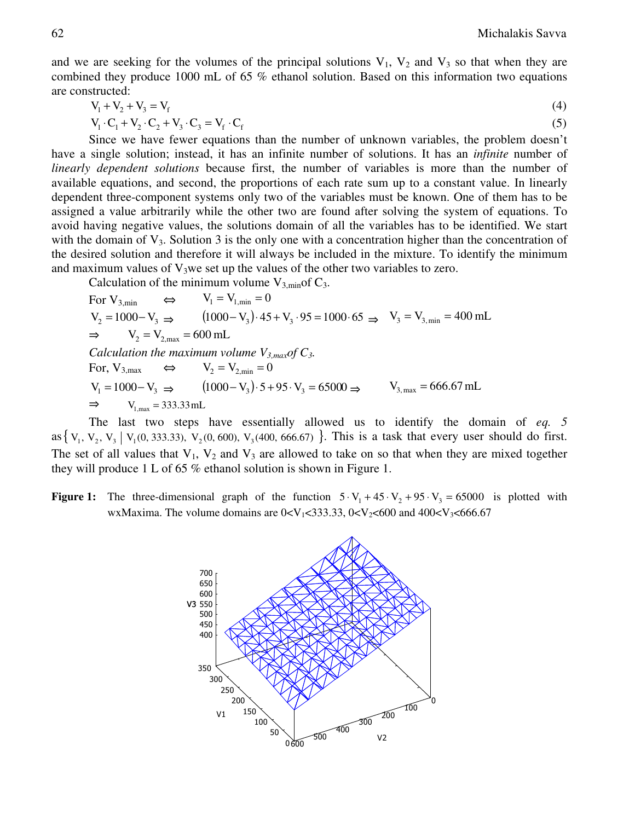and we are seeking for the volumes of the principal solutions  $V_1$ ,  $V_2$  and  $V_3$  so that when they are combined they produce 1000 mL of 65 % ethanol solution. Based on this information two equations are constructed:

$$
V_1 + V_2 + V_3 = V_f \tag{4}
$$

$$
V_1 \cdot C_1 + V_2 \cdot C_2 + V_3 \cdot C_3 = V_f \cdot C_f \tag{5}
$$

Since we have fewer equations than the number of unknown variables, the problem doesn't have a single solution; instead, it has an infinite number of solutions. It has an *infinite* number of *linearly dependent solutions* because first, the number of variables is more than the number of available equations, and second, the proportions of each rate sum up to a constant value. In linearly dependent three-component systems only two of the variables must be known. One of them has to be assigned a value arbitrarily while the other two are found after solving the system of equations. To avoid having negative values, the solutions domain of all the variables has to be identified. We start with the domain of  $V_3$ . Solution 3 is the only one with a concentration higher than the concentration of the desired solution and therefore it will always be included in the mixture. To identify the minimum and maximum values of  $V_3$ we set up the values of the other two variables to zero.

Calculation of the minimum volume  $V_{3,min}$  of  $C_3$ .

For V<sub>3,min</sub> 
$$
\Leftrightarrow
$$
 V<sub>1</sub> = V<sub>1,min</sub> = 0  
\nV<sub>2</sub> = 1000-V<sub>3</sub>  $\Rightarrow$  (1000-V<sub>3</sub>) · 45 + V<sub>3</sub> · 95 = 1000 · 65  $\Rightarrow$  V<sub>3</sub> = V<sub>3,min</sub> = 400 mL  
\n $\Rightarrow$  V<sub>2</sub> = V<sub>2,max</sub> = 600 mL  
\nCalculation the maximum volume V<sub>3,max</sub> of C<sub>3</sub>.  
\nFor, V<sub>3,max</sub>  $\Leftrightarrow$  V<sub>2</sub> = V<sub>2,min</sub> = 0  
\nV<sub>1</sub> = 1000-V<sub>3</sub>  $\Rightarrow$  (1000-V<sub>3</sub>) · 5 + 95 · V<sub>3</sub> = 65000  $\Rightarrow$  V<sub>3,max</sub> = 666.67 mL  
\n $\Rightarrow$  V<sub>1,max</sub> = 333.33 mL

The last two steps have essentially allowed us to identify the domain of *eq. 5* as  $\{V_1, V_2, V_3 \mid V_1(0, 333.33), V_2(0, 600), V_3(400, 666.67) \}$ . This is a task that every user should do first. The set of all values that  $V_1$ ,  $V_2$  and  $V_3$  are allowed to take on so that when they are mixed together they will produce 1 L of 65 % ethanol solution is shown in Figure 1.

**Figure 1:** The three-dimensional graph of the function  $5 \cdot V_1 + 45 \cdot V_2 + 95 \cdot V_3 = 65000$  is plotted with wxMaxima. The volume domains are  $0 < V_1 < 333.33$ ,  $0 < V_2 < 600$  and  $400 < V_3 < 666.67$ 

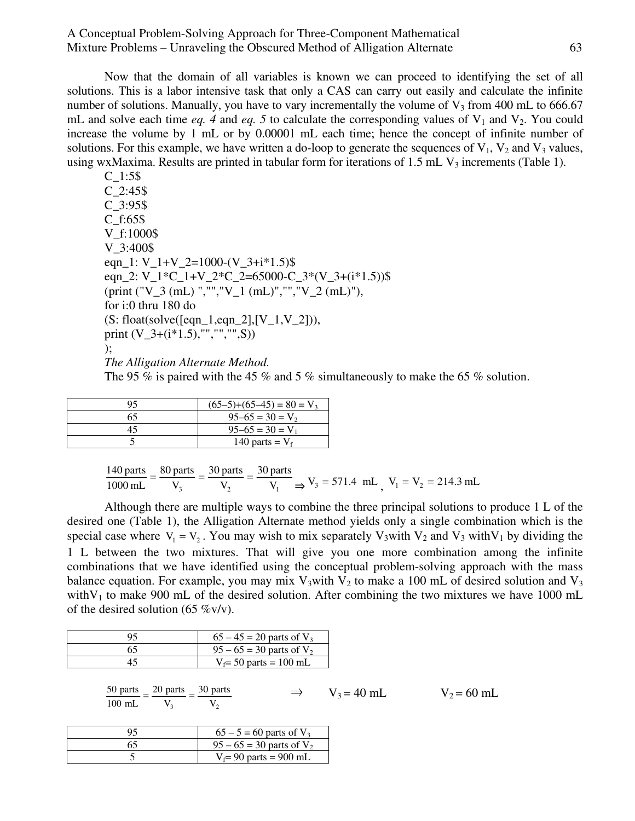Now that the domain of all variables is known we can proceed to identifying the set of all solutions. This is a labor intensive task that only a CAS can carry out easily and calculate the infinite number of solutions. Manually, you have to vary incrementally the volume of  $V_3$  from 400 mL to 666.67 mL and solve each time  $eq. 4$  and  $eq. 5$  to calculate the corresponding values of  $V_1$  and  $V_2$ . You could increase the volume by 1 mL or by 0.00001 mL each time; hence the concept of infinite number of solutions. For this example, we have written a do-loop to generate the sequences of  $V_1$ ,  $V_2$  and  $V_3$  values, using wxMaxima. Results are printed in tabular form for iterations of  $1.5$  mL  $V_3$  increments (Table 1).

C\_1:5\$ C\_2:45\$ C\_3:95\$ C\_f:65\$ V\_f:1000\$ V\_3:400\$ eqn\_1:  $V_1+V_2=1000-(V_3+i*1.5)\$ eqn\_2: V\_1\*C\_1+V\_2\*C\_2=65000-C\_3\*(V\_3+(i\*1.5))\$ (print ("V\_3 (mL) ","","V\_1 (mL)","","V\_2 (mL)"), for i:0 thru 180 do  $(S: float(solve([eqn_1, eqn_2], [V_1, V_2]),$ print  $(V_3+(i*1.5), \dots, \dots, \dots, S))$ );

*The Alligation Alternate Method.* 

The 95 % is paired with the 45 % and 5 % simultaneously to make the 65 % solution.

| ۵s | $(65-5)+(65-45) = 80 = V_3$ |
|----|-----------------------------|
| 65 | $95-65 = 30 = V_2$          |
| 45 | $95-65 = 30 = V_1$          |
|    | 140 parts = $V_f$           |

$$
\frac{140 \text{ parts}}{1000 \text{ mL}} = \frac{80 \text{ parts}}{V_3} = \frac{30 \text{ parts}}{V_2} = \frac{30 \text{ parts}}{V_1} \implies V_3 = 571.4 \text{ mL}, V_1 = V_2 = 214.3 \text{ mL}
$$

Although there are multiple ways to combine the three principal solutions to produce 1 L of the desired one (Table 1), the Alligation Alternate method yields only a single combination which is the special case where  $V_1 = V_2$ . You may wish to mix separately  $V_3$  with  $V_2$  and  $V_3$  with  $V_1$  by dividing the 1 L between the two mixtures. That will give you one more combination among the infinite combinations that we have identified using the conceptual problem-solving approach with the mass balance equation. For example, you may mix  $V_3$  with  $V_2$  to make a 100 mL of desired solution and  $V_3$ with V<sub>1</sub> to make 900 mL of the desired solution. After combining the two mixtures we have 1000 mL of the desired solution (65  $\%$ v/v).

|    | $65 - 45 = 20$ parts of $V_3$          |
|----|----------------------------------------|
| 65 | $95 - 65 = 30$ parts of V <sub>2</sub> |
|    | $V_f = 50$ parts = 100 mL              |

| 50 parts $\frac{1}{2}$ 20 parts $\frac{1}{2}$ 30 parts |  | $\Rightarrow$ V <sub>3</sub> = 40 mL | $V_2 = 60$ mL |
|--------------------------------------------------------|--|--------------------------------------|---------------|
| 100 mL $V_3$ $V_2$                                     |  |                                      |               |

| q٢ | $65 - 5 = 60$ parts of $V_3$  |
|----|-------------------------------|
|    | $95 - 65 = 30$ parts of $V_2$ |
|    | $V_f$ = 90 parts = 900 mL     |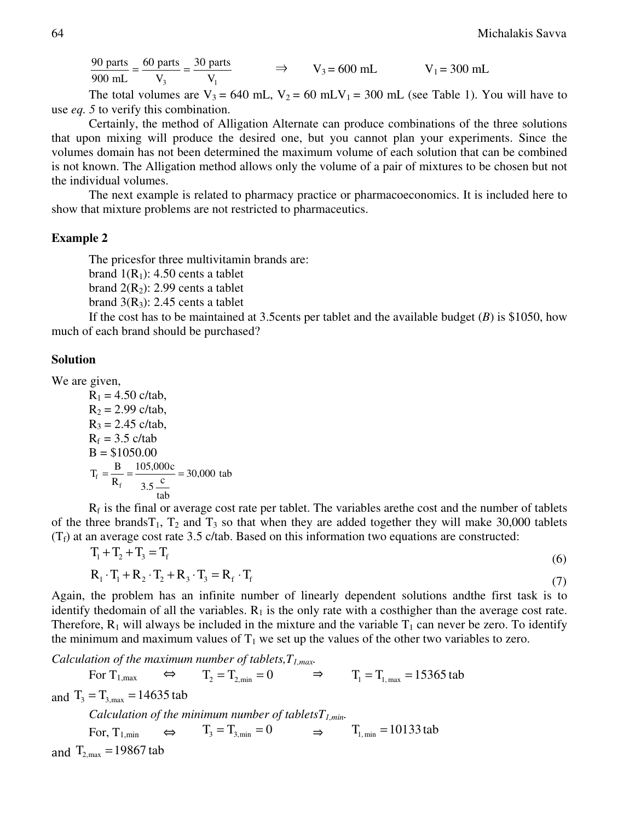$\mathbf{V}_1$ 30 parts V 60 parts 900 mL  $\frac{90 \text{ parts}}{200 \text{ N}} = \frac{60 \text{ parts}}{V} = \frac{30 \text{ parts}}{V}$   $\Rightarrow$   $V_3 = 600 \text{ mL}$   $V_1 = 300 \text{ mL}$ 

The total volumes are  $V_3 = 640$  mL,  $V_2 = 60$  mLV<sub>1</sub> = 300 mL (see Table 1). You will have to use *eq. 5* to verify this combination.

Certainly, the method of Alligation Alternate can produce combinations of the three solutions that upon mixing will produce the desired one, but you cannot plan your experiments. Since the volumes domain has not been determined the maximum volume of each solution that can be combined is not known. The Alligation method allows only the volume of a pair of mixtures to be chosen but not the individual volumes.

The next example is related to pharmacy practice or pharmacoeconomics. It is included here to show that mixture problems are not restricted to pharmaceutics.

#### **Example 2**

The pricesfor three multivitamin brands are:

brand  $1(R_1)$ : 4.50 cents a tablet

brand  $2(R_2)$ : 2.99 cents a tablet

brand  $3(R_3)$ : 2.45 cents a tablet

If the cost has to be maintained at 3.5cents per tablet and the available budget (*B*) is \$1050, how much of each brand should be purchased?

### **Solution**

We are given,

$$
R_1 = 4.50 \text{ c/tab},
$$
  
\n
$$
R_2 = 2.99 \text{ c/tab},
$$
  
\n
$$
R_3 = 2.45 \text{ c/tab},
$$
  
\n
$$
R_f = 3.5 \text{ c/tab}
$$
  
\n
$$
B = $1050.00
$$
  
\n
$$
T_f = \frac{B}{R_f} = \frac{105,000c}{3.5 \frac{c}{tab}} = 30,000 \text{ tab}
$$

 $R_f$  is the final or average cost rate per tablet. The variables are the cost and the number of tablets of the three brands $T_1$ ,  $T_2$  and  $T_3$  so that when they are added together they will make 30,000 tablets  $(T_f)$  at an average cost rate 3.5 c/tab. Based on this information two equations are constructed:

$$
T_1 + T_2 + T_3 = T_f \tag{6}
$$

$$
\mathbf{R}_1 \cdot \mathbf{T}_1 + \mathbf{R}_2 \cdot \mathbf{T}_2 + \mathbf{R}_3 \cdot \mathbf{T}_3 = \mathbf{R}_f \cdot \mathbf{T}_f \tag{7}
$$

Again, the problem has an infinite number of linearly dependent solutions andthe first task is to identify thedomain of all the variables.  $R_1$  is the only rate with a costhigher than the average cost rate. Therefore,  $R_1$  will always be included in the mixture and the variable  $T_1$  can never be zero. To identify the minimum and maximum values of  $T_1$  we set up the values of the other two variables to zero.

*Calculation of the maximum number of tablets,T1,max.* 

For  $T_{1,\text{max}} \Leftrightarrow T_2 = T_{2,\text{min}} = 0 \Rightarrow T_1 = T_{1,\text{max}} = 15365 \text{ tab}$ and  $T_3 = T_{3, max} = 14635$  tab *Calculation of the minimum number of tabletsT1,min.*  For,  $T_{1,\text{min}} \qquad \Leftrightarrow \qquad T_3 = T_{3,\text{min}} = 0 \qquad \Rightarrow \qquad T_{1,\text{min}} = 10133 \text{ tab}$ and  $T_{2\text{ max}} = 19867$  tab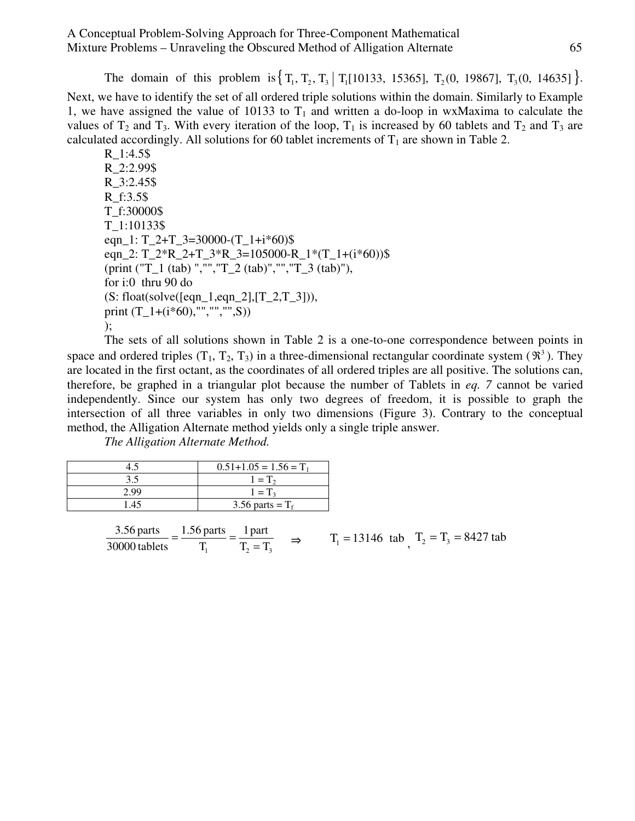The domain of this problem is  $\{T_1, T_2, T_3 | T_1[10133, 15365], T_2(0, 19867], T_3(0, 14635] \}$ . Next, we have to identify the set of all ordered triple solutions within the domain. Similarly to Example 1, we have assigned the value of 10133 to  $T_1$  and written a do-loop in wxMaxima to calculate the values of  $T_2$  and  $T_3$ . With every iteration of the loop,  $T_1$  is increased by 60 tablets and  $T_2$  and  $T_3$  are calculated accordingly. All solutions for 60 tablet increments of  $T_1$  are shown in Table 2.

R\_1:4.5\$ R\_2:2.99\$ R\_3:2.45\$ R\_f:3.5\$ T\_f:30000\$ T\_1:10133\$ eqn\_1:  $T_2+T_3=30000-(T_1+i*60)\$ \$ eqn\_2:  $T_2^*R_2+T_3^*R_3=105000-R_1^*(T_1+(i*60))\$ (print ("T\_1 (tab) ","","T\_2 (tab)","","T\_3 (tab)"), for i:0 thru 90 do  $(S: float(solve([eqn_1, eqn_2], [T_2, T_3]))$ , print (T\_1+(i\*60),"","","",S)) );

The sets of all solutions shown in Table 2 is a one-to-one correspondence between points in space and ordered triples  $(T_1, T_2, T_3)$  in a three-dimensional rectangular coordinate system  $(\mathbb{R}^3)$ . They are located in the first octant, as the coordinates of all ordered triples are all positive. The solutions can, therefore, be graphed in a triangular plot because the number of Tablets in *eq. 7* cannot be varied independently. Since our system has only two degrees of freedom, it is possible to graph the intersection of all three variables in only two dimensions (Figure 3). Contrary to the conceptual method, the Alligation Alternate method yields only a single triple answer.

*The Alligation Alternate Method.* 

|      | $0.51+1.05 = 1.56 = T_1$ |
|------|--------------------------|
|      | $1 = T_2$                |
| 2 O. | $1 = T3$                 |
| 1.45 | 3.56 parts = $T_f$       |

 $T_1$   $T_2 = T_3$  1part T 1.56 parts 30000 tablets 3.56 parts  $=\frac{1.56 \text{ parts}}{T_1} = \frac{1 \text{ part}}{T_2 = T_3}$   $\Rightarrow$   $T_1 = 13146 \text{ tab}$ ,  $T_2 = T_3 = 8427 \text{ tab}$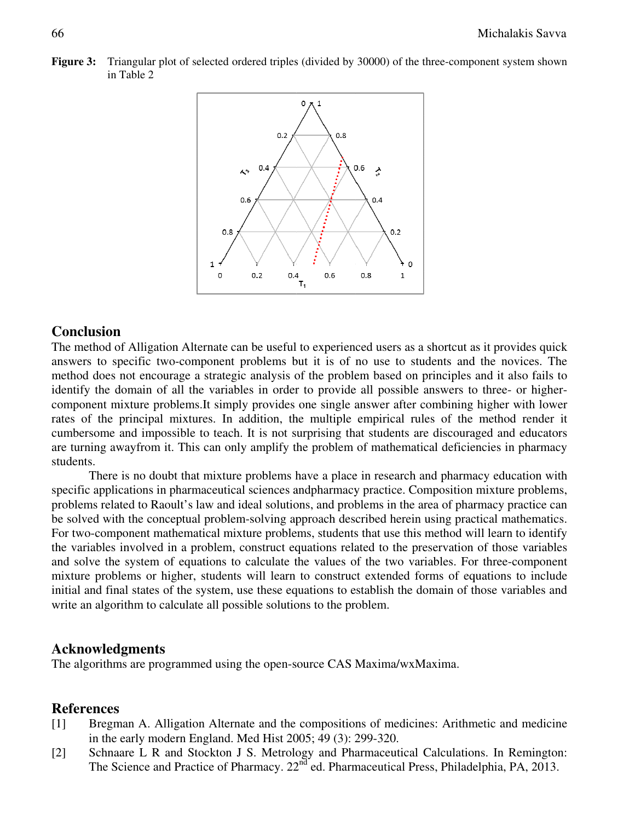**Figure 3:** Triangular plot of selected ordered triples (divided by 30000) of the three-component system shown in Table 2



## **Conclusion**

The method of Alligation Alternate can be useful to experienced users as a shortcut as it provides quick answers to specific two-component problems but it is of no use to students and the novices. The method does not encou answers to specific twomethod does not encourage a strategic analysis of the problem based on principles and it also fails to method does not encourage a strategic analysis of the problem based on principles and it also fails to<br>identify the domain of all the variables in order to provide all possible answers to three- or higher component mixture problems.It simply provides one single answer after combining higher with lower rates of the principal mixtures. In addition, the multiple empirical rules of the method render it cumbersome and impossible to teach. It is not surprising that students are discouraged and educators are turning awayfrom it. This can only amplify the problem of mathematical deficiencies in pharmacy students. nent mixture problems.It simply provides one single answer after combining higher with lower<br>of the principal mixtures. In addition, the multiple empirical rules of the method render it<br>some and impossible to teach. It is nod of Alligation Alternate can be useful to experienced users as a shortcut as it provides quick<br>to specific two-component problems but it is of no use to students and the novices. The<br>does not encourage a strategic analy the method render it<br>buraged and educators<br>ficiencies in pharmacy<br>armacy education with<br>tion mixture problems,<br>pharmacy practice can

specific applications in pharmaceutical sciences andpharmacy practice. Composition mixture problems, problems related to Raoult's law and ideal solutions, and problems in the area of pharmacy practice can be solved with the conceptual problem-solving approach described herein using practical mathematics. For two-component mathematical mixture problems, students that use this method will learn to identify the variables involved in a problem, construct equations related to the preservation of those variables and solve the system of equations to calculate the values of the two variables. For three-component mixture problems or higher, students will learn to construct extended forms of equations to include initial and final states of the system, use these equations to establish the domain of those variables and write an algorithm to calculate all possible solutions to the problem. rers to specific two-component problems but it is of no use to students and the novies. The component mixture problems has the problem based on principles and it also fials to solve component mixture problems, ti simply pr solving approach described herein using prose problems, students that use this method mstruct equations related to the preservation alculate the values of the two variables. I<br>will learn to construct extended forms of e th First to three- or higher-<br>ning higher with lower<br>the method render it<br>ouraged and educators<br>ficiencies in pharmacy<br>armacy education with<br>tion mixture problems,<br>pharmacy practice can<br>practical mathematics.<br>both will learn acy practice can<br>cal mathematics.<br>learn to identify<br>i those variables<br>hree-component

#### **Acknowledgments**

The algorithms are programmed using the open-sou

## **References**

- $[1]$ 1] Bregman A. Alligation Alternate and the compositions of medicines: Arithmetic and medicine in the early modern England. Med Hist 2005; 49 (3): 299-320. rce CAS Maxima/v<br>ompositions of med<br>i; 49 (3): 299-320.
- $[2]$ 2] Schnaare L R and Stockton J S. Metrology and Pharmaceutical Calcu Calculations. In Remington: The Science and Practice of Pharmacy. 22<sup>nd</sup> ed. Pharmaceutical Press, Philadelphia, PA, 2013.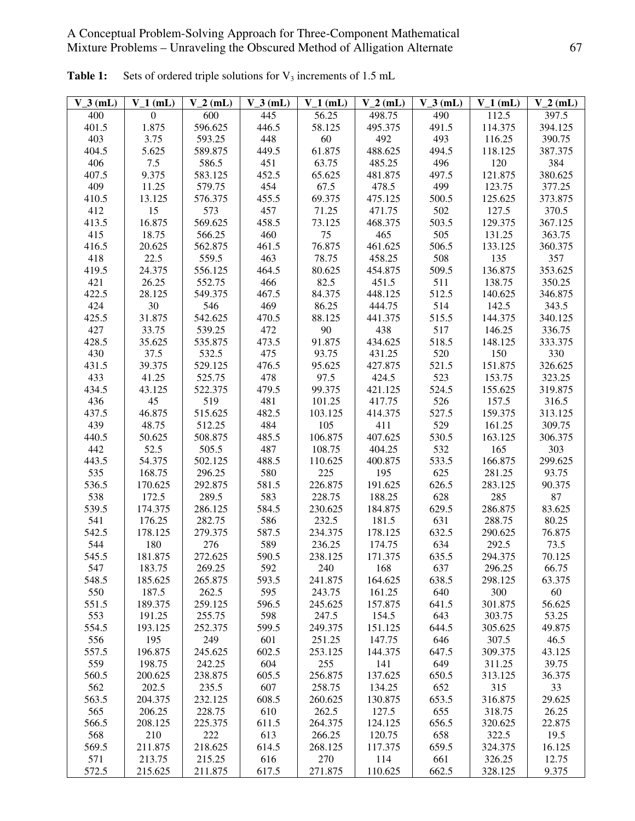| $V_3$ (mL)   | $V_1$ (mL)        | $V_2(mL)$         | $V_3$ (mL)   | $V_1$ (mL)     | $V_2$ (mL)        | $V_3$ (mL)   | $V_1$ (mL)        | $V_2$ (mL)      |
|--------------|-------------------|-------------------|--------------|----------------|-------------------|--------------|-------------------|-----------------|
| 400          | $\Omega$          | 600               | 445          | 56.25          | 498.75            | 490          | 112.5             | 397.5           |
| 401.5        | 1.875             | 596.625           | 446.5        | 58.125         | 495.375           | 491.5        | 114.375           | 394.125         |
| 403          | 3.75              | 593.25            | 448          | 60             | 492               | 493          | 116.25            | 390.75          |
| 404.5        | 5.625             | 589.875           | 449.5        | 61.875         | 488.625           | 494.5        | 118.125           | 387.375         |
| 406          | 7.5               | 586.5             | 451          | 63.75          | 485.25            | 496          | 120               | 384             |
| 407.5        | 9.375             | 583.125           | 452.5        | 65.625         | 481.875           | 497.5        | 121.875           | 380.625         |
| 409          | 11.25             | 579.75            | 454          | 67.5           | 478.5             | 499          | 123.75            | 377.25          |
| 410.5        | 13.125            | 576.375           | 455.5        | 69.375         | 475.125           | 500.5        | 125.625           | 373.875         |
| 412          | 15                | 573               | 457          | 71.25          | 471.75            | 502          | 127.5             | 370.5           |
| 413.5        | 16.875            | 569.625           | 458.5        | 73.125         | 468.375           | 503.5        | 129.375           | 367.125         |
| 415          | 18.75             | 566.25            | 460          | 75             | 465               | 505          | 131.25            | 363.75          |
| 416.5        | 20.625            | 562.875           | 461.5        | 76.875         | 461.625           | 506.5        | 133.125           | 360.375         |
| 418          | 22.5              | 559.5             | 463          | 78.75          | 458.25            | 508          | 135               | 357             |
| 419.5        | 24.375            | 556.125           | 464.5        | 80.625         | 454.875           | 509.5        | 136.875           | 353.625         |
| 421          | 26.25             | 552.75            | 466          | 82.5           | 451.5             | 511          | 138.75            | 350.25          |
| 422.5        | 28.125            | 549.375           | 467.5        | 84.375         | 448.125           | 512.5        | 140.625           | 346.875         |
| 424          | 30                | 546               | 469          | 86.25          | 444.75            | 514          | 142.5             | 343.5           |
| 425.5        | 31.875            | 542.625           | 470.5        | 88.125         | 441.375           | 515.5        | 144.375           | 340.125         |
| 427          | 33.75             | 539.25            | 472          | 90             | 438               | 517          | 146.25            | 336.75          |
| 428.5        | 35.625            | 535.875           | 473.5        | 91.875         | 434.625           | 518.5        | 148.125           | 333.375         |
| 430          | 37.5              | 532.5             | 475          | 93.75          | 431.25            | 520          | 150               | 330             |
| 431.5        | 39.375            | 529.125           | 476.5        | 95.625         | 427.875           | 521.5        | 151.875           | 326.625         |
| 433          | 41.25             | 525.75            | 478          | 97.5           | 424.5             | 523          | 153.75            | 323.25          |
| 434.5        | 43.125            | 522.375           | 479.5        | 99.375         | 421.125           | 524.5        | 155.625           | 319.875         |
| 436          | 45                | 519               | 481          | 101.25         | 417.75            | 526          | 157.5             | 316.5           |
| 437.5        | 46.875            | 515.625           | 482.5        | 103.125        | 414.375           | 527.5        | 159.375           | 313.125         |
| 439          | 48.75             | 512.25            | 484          | 105            | 411               | 529          | 161.25            | 309.75          |
| 440.5        | 50.625            | 508.875           | 485.5        | 106.875        | 407.625           | 530.5        | 163.125           | 306.375         |
| 442          | 52.5              | 505.5             | 487          | 108.75         | 404.25            | 532          | 165               | 303             |
| 443.5        | 54.375            | 502.125           | 488.5        | 110.625        | 400.875           | 533.5        | 166.875           | 299.625         |
| 535          | 168.75            | 296.25            | 580          | 225            | 195               | 625          | 281.25            | 93.75           |
| 536.5        | 170.625           | 292.875           | 581.5        | 226.875        | 191.625           | 626.5        | 283.125           | 90.375          |
| 538          | 172.5             | 289.5             | 583          | 228.75         | 188.25            | 628          | 285               | 87              |
| 539.5        | 174.375           | 286.125           | 584.5        | 230.625        | 184.875           | 629.5        | 286.875           | 83.625          |
| 541          | 176.25            | 282.75            | 586          | 232.5          | 181.5             | 631          | 288.75            | 80.25           |
| 542.5        | 178.125           | 279.375           | 587.5        | 234.375        | 178.125           | 632.5        | 290.625           | 76.875          |
| 544          | 180               | 276               | 589          | 236.25         | 174.75            | 634          | 292.5             | 73.5            |
| 545.5        | 181.875           | 272.625           | 590.5        | 238.125        | 171.375           | 635.5        | 294.375           | 70.125          |
| 547          | 183.75            | 269.25            | 592          | 240            | 168               | 637          | 296.25            | 66.75           |
| 548.5        | 185.625           | 265.875           | 593.5        | 241.875        | 164.625           | 638.5        | 298.125           | 63.375          |
| 550          | 187.5             | 262.5             | 595          | 243.75         | 161.25            | 640          | 300               | 60              |
| 551.5        | 189.375           | 259.125           | 596.5        | 245.625        | 157.875           | 641.5        | 301.875           | 56.625          |
| 553          | 191.25            | 255.75            | 598          | 247.5          | 154.5             | 643          | 303.75            | 53.25           |
| 554.5        | 193.125           | 252.375           | 599.5        | 249.375        | 151.125           | 644.5        | 305.625           | 49.875          |
| 556          | 195               | 249               | 601          | 251.25         | 147.75            | 646          | 307.5             | 46.5            |
| 557.5<br>559 | 196.875<br>198.75 | 245.625<br>242.25 | 602.5<br>604 | 253.125<br>255 | 144.375<br>141    | 647.5<br>649 | 309.375<br>311.25 | 43.125<br>39.75 |
|              |                   |                   |              | 256.875        |                   |              |                   |                 |
| 560.5<br>562 | 200.625<br>202.5  | 238.875<br>235.5  | 605.5<br>607 | 258.75         | 137.625<br>134.25 | 650.5<br>652 | 313.125<br>315    | 36.375<br>33    |
| 563.5        | 204.375           | 232.125           | 608.5        | 260.625        | 130.875           | 653.5        | 316.875           | 29.625          |
| 565          | 206.25            | 228.75            | 610          | 262.5          | 127.5             | 655          | 318.75            | 26.25           |
| 566.5        | 208.125           | 225.375           | 611.5        | 264.375        | 124.125           | 656.5        | 320.625           | 22.875          |
| 568          | 210               | 222               | 613          | 266.25         | 120.75            | 658          | 322.5             | 19.5            |
| 569.5        | 211.875           | 218.625           | 614.5        | 268.125        | 117.375           | 659.5        | 324.375           | 16.125          |
| 571          | 213.75            | 215.25            | 616          | 270            | 114               | 661          | 326.25            | 12.75           |
| 572.5        | 215.625           | 211.875           | 617.5        | 271.875        | 110.625           | 662.5        | 328.125           | 9.375           |

Table 1: Sets of ordered triple solutions for V<sub>3</sub> increments of 1.5 mL